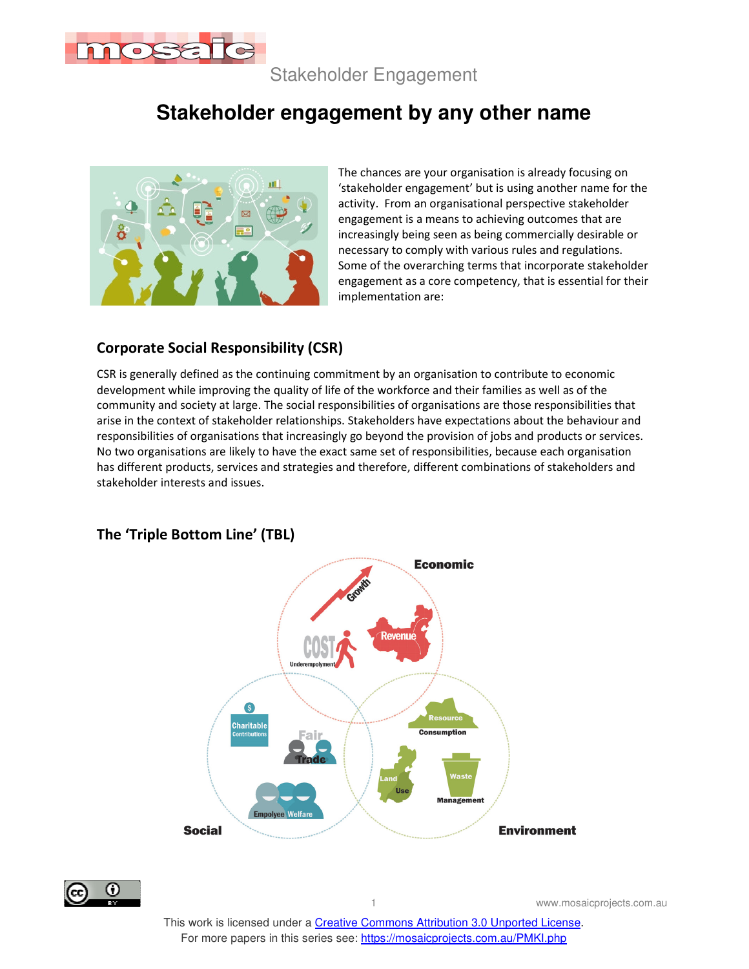

Stakeholder Engagement

# **Stakeholder engagement by any other name**



The chances are your organisation is already focusing on 'stakeholder engagement' but is using another name for the activity. From an organisational perspective stakeholder engagement is a means to achieving outcomes that are increasingly being seen as being commercially desirable or necessary to comply with various rules and regulations. Some of the overarching terms that incorporate stakeholder engagement as a core competency, that is essential for their implementation are:

### **Corporate Social Responsibility (CSR)**

CSR is generally defined as the continuing commitment by an organisation to contribute to economic development while improving the quality of life of the workforce and their families as well as of the community and society at large. The social responsibilities of organisations are those responsibilities that arise in the context of stakeholder relationships. Stakeholders have expectations about the behaviour and responsibilities of organisations that increasingly go beyond the provision of jobs and products or services. No two organisations are likely to have the exact same set of responsibilities, because each organisation has different products, services and strategies and therefore, different combinations of stakeholders and stakeholder interests and issues.



#### **The 'Triple Bottom Line' (TBL)**



www.mosaicprojects.com.au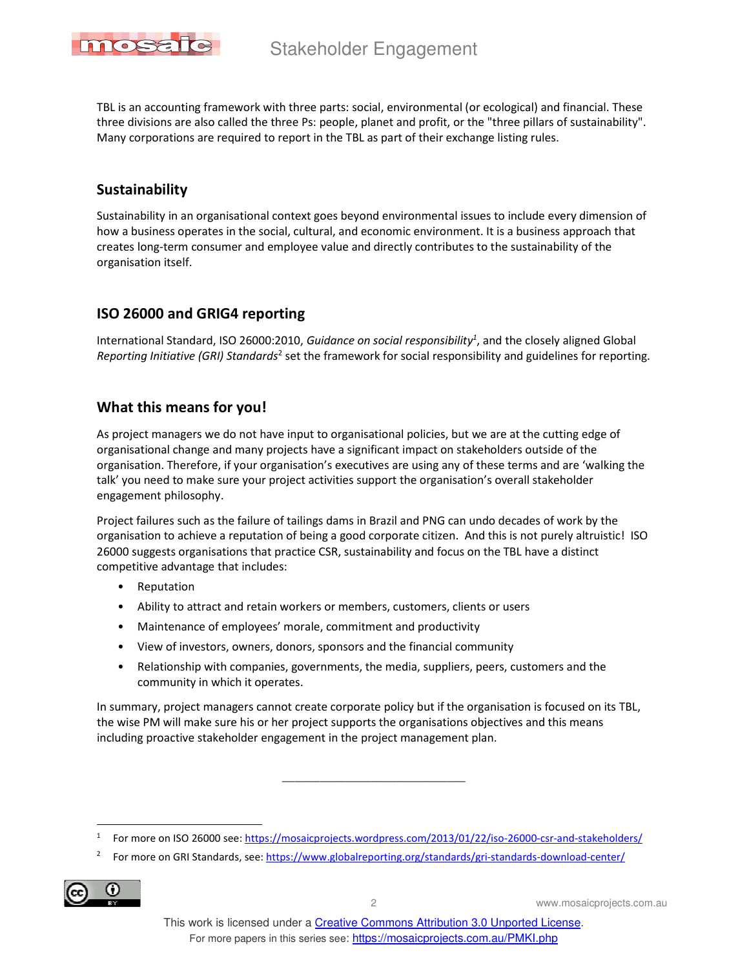

TBL is an accounting framework with three parts: social, environmental (or ecological) and financial. These three divisions are also called the three Ps: people, planet and profit, or the "three pillars of sustainability". Many corporations are required to report in the TBL as part of their exchange listing rules.

#### **Sustainability**

Sustainability in an organisational context goes beyond environmental issues to include every dimension of how a business operates in the social, cultural, and economic environment. It is a business approach that creates long-term consumer and employee value and directly contributes to the sustainability of the organisation itself.

#### **ISO 26000 and GRIG4 reporting**

International Standard, ISO 26000:2010, *Guidance on social responsibility<sup>1</sup>* , and the closely aligned Global Reporting Initiative (GRI) Standards<sup>2</sup> set the framework for social responsibility and guidelines for reporting.

### **What this means for you!**

As project managers we do not have input to organisational policies, but we are at the cutting edge of organisational change and many projects have a significant impact on stakeholders outside of the organisation. Therefore, if your organisation's executives are using any of these terms and are 'walking the talk' you need to make sure your project activities support the organisation's overall stakeholder engagement philosophy.

Project failures such as the failure of tailings dams in Brazil and PNG can undo decades of work by the organisation to achieve a reputation of being a good corporate citizen. And this is not purely altruistic! ISO 26000 suggests organisations that practice CSR, sustainability and focus on the TBL have a distinct competitive advantage that includes:

- Reputation
- Ability to attract and retain workers or members, customers, clients or users
- Maintenance of employees' morale, commitment and productivity
- View of investors, owners, donors, sponsors and the financial community
- Relationship with companies, governments, the media, suppliers, peers, customers and the community in which it operates.

In summary, project managers cannot create corporate policy but if the organisation is focused on its TBL, the wise PM will make sure his or her project supports the organisations objectives and this means including proactive stakeholder engagement in the project management plan.

\_\_\_\_\_\_\_\_\_\_\_\_\_\_\_\_\_\_\_\_\_\_\_\_\_\_\_\_\_

<sup>2</sup> For more on GRI Standards, see: https://www.globalreporting.org/standards/gri-standards-download-center/



2 www.mosaicprojects.com.au

<sup>1</sup> For more on ISO 26000 see: https://mosaicprojects.wordpress.com/2013/01/22/iso-26000-csr-and-stakeholders/